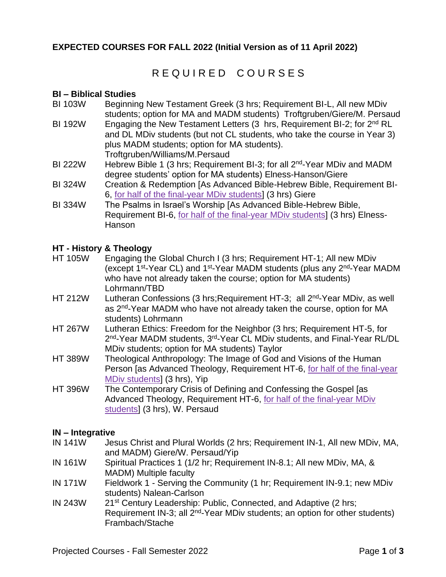### **EXPECTED COURSES FOR FALL 2022 (Initial Version as of 11 April 2022)**

# R E QUIRED COURSES

#### **BI – Biblical Studies**

- BI 103W Beginning New Testament Greek (3 hrs; Requirement BI-L, All new MDiv students; option for MA and MADM students) Troftgruben/Giere/M. Persaud
- BI 192W Engaging the New Testament Letters (3 hrs, Requirement BI-2; for 2<sup>nd</sup> RL and DL MDiv students (but not CL students, who take the course in Year 3) plus MADM students; option for MA students). Troftgruben/Williams/M.Persaud
- BI 222W Hebrew Bible 1 (3 hrs; Requirement BI-3; for all 2<sup>nd</sup>-Year MDiv and MADM degree students' option for MA students) Elness-Hanson/Giere
- BI 324W Creation & Redemption [As Advanced Bible-Hebrew Bible, Requirement BI-6, for half of the final-year MDiv students] (3 hrs) Giere
- BI 334W The Psalms in Israel's Worship [As Advanced Bible-Hebrew Bible, Requirement BI-6, for half of the final-year MDiv students] (3 hrs) Elness-Hanson

### **HT - History & Theology**

- HT 105W Engaging the Global Church I (3 hrs; Requirement HT-1; All new MDiv (except 1<sup>st</sup>-Year CL) and 1<sup>st</sup>-Year MADM students (plus any 2<sup>nd</sup>-Year MADM who have not already taken the course; option for MA students) Lohrmann/TBD
- HT 212W Lutheran Confessions (3 hrs; Requirement HT-3; all 2<sup>nd</sup>-Year MDiv, as well as 2<sup>nd</sup>-Year MADM who have not already taken the course, option for MA students) Lohrmann
- HT 267W Lutheran Ethics: Freedom for the Neighbor (3 hrs; Requirement HT-5, for 2<sup>nd</sup>-Year MADM students, 3<sup>rd</sup>-Year CL MDiv students, and Final-Year RL/DL MDiv students; option for MA students) Taylor
- HT 389W Theological Anthropology: The Image of God and Visions of the Human Person [as Advanced Theology, Requirement HT-6, for half of the final-year MDiv students] (3 hrs), Yip
- HT 396W The Contemporary Crisis of Defining and Confessing the Gospel [as Advanced Theology, Requirement HT-6, for half of the final-year MDiv students] (3 hrs), W. Persaud

### **IN – Integrative**

- IN 141W Jesus Christ and Plural Worlds (2 hrs; Requirement IN-1, All new MDiv, MA, and MADM) Giere/W. Persaud/Yip
- IN 161W Spiritual Practices 1 (1/2 hr; Requirement IN-8.1; All new MDiv, MA, & MADM) Multiple faculty
- IN 171W Fieldwork 1 Serving the Community (1 hr; Requirement IN-9.1; new MDiv students) Nalean-Carlson
- IN 243W 21st Century Leadership: Public, Connected, and Adaptive (2 hrs; Requirement IN-3; all 2<sup>nd</sup>-Year MDiv students; an option for other students) Frambach/Stache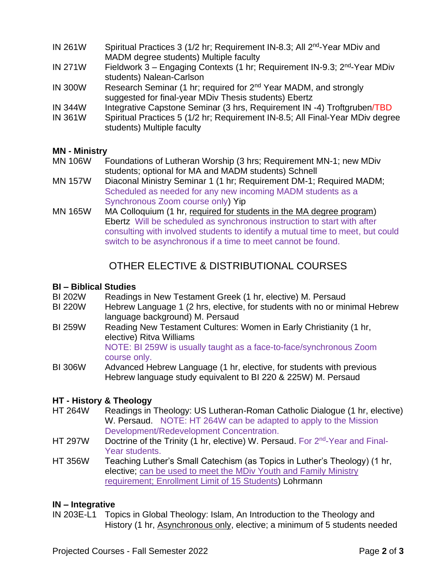- IN 261W Spiritual Practices 3 (1/2 hr; Requirement IN-8.3; All  $2^{nd}$ -Year MDiv and MADM degree students) Multiple faculty
- IN 271W Fieldwork 3 Engaging Contexts (1 hr; Requirement IN-9.3; 2<sup>nd</sup>-Year MDiv students) Nalean-Carlson
- IN 300W Research Seminar (1 hr; required for 2nd Year MADM, and strongly suggested for final-year MDiv Thesis students) Ebertz
- IN 344W Integrative Capstone Seminar (3 hrs, Requirement IN -4) Troftgruben/TBD
- IN 361W Spiritual Practices 5 (1/2 hr; Requirement IN-8.5; All Final-Year MDiv degree students) Multiple faculty

### **MN - Ministry**

- MN 106W Foundations of Lutheran Worship (3 hrs; Requirement MN-1; new MDiv students; optional for MA and MADM students) Schnell
- MN 157W Diaconal Ministry Seminar 1 (1 hr; Requirement DM-1; Required MADM; Scheduled as needed for any new incoming MADM students as a Synchronous Zoom course only) Yip
- MN 165W MA Colloquium (1 hr, required for students in the MA degree program) Ebertz Will be scheduled as synchronous instruction to start with after consulting with involved students to identify a mutual time to meet, but could switch to be asynchronous if a time to meet cannot be found.

# OTHER ELECTIVE & DISTRIBUTIONAL COURSES

### **BI – Biblical Studies**

- BI 202W Readings in New Testament Greek (1 hr, elective) M. Persaud
- BI 220W Hebrew Language 1 (2 hrs, elective, for students with no or minimal Hebrew language background) M. Persaud
- BI 259W Reading New Testament Cultures: Women in Early Christianity (1 hr, elective) Ritva Williams NOTE: BI 259W is usually taught as a face-to-face/synchronous Zoom course only.
- BI 306W Advanced Hebrew Language (1 hr, elective, for students with previous Hebrew language study equivalent to BI 220 & 225W) M. Persaud

### **HT - History & Theology**

- HT 264W Readings in Theology: US Lutheran-Roman Catholic Dialogue (1 hr, elective) W. Persaud. NOTE: HT 264W can be adapted to apply to the Mission Development/Redevelopment Concentration.
- HT 297W Doctrine of the Trinity (1 hr, elective) W. Persaud. For 2<sup>nd</sup>-Year and Final-Year students.
- HT 356W Teaching Luther's Small Catechism (as Topics in Luther's Theology) (1 hr, elective; can be used to meet the MDiv Youth and Family Ministry requirement; Enrollment Limit of 15 Students) Lohrmann

### **IN – Integrative**

IN 203E-L1 Topics in Global Theology: Islam, An Introduction to the Theology and History (1 hr, Asynchronous only, elective; a minimum of 5 students needed